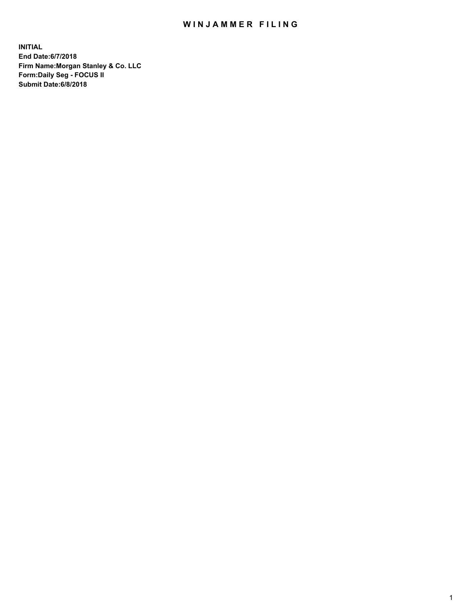## WIN JAMMER FILING

**INITIAL End Date:6/7/2018 Firm Name:Morgan Stanley & Co. LLC Form:Daily Seg - FOCUS II Submit Date:6/8/2018**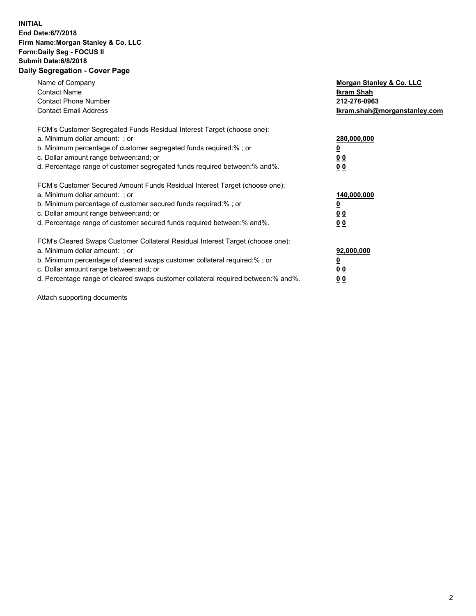## **INITIAL End Date:6/7/2018 Firm Name:Morgan Stanley & Co. LLC Form:Daily Seg - FOCUS II Submit Date:6/8/2018 Daily Segregation - Cover Page**

| Name of Company<br><b>Contact Name</b><br><b>Contact Phone Number</b><br><b>Contact Email Address</b>                                                                                                                                                                                                                          | <b>Morgan Stanley &amp; Co. LLC</b><br><b>Ikram Shah</b><br>212-276-0963<br>Ikram.shah@morganstanley.com |
|--------------------------------------------------------------------------------------------------------------------------------------------------------------------------------------------------------------------------------------------------------------------------------------------------------------------------------|----------------------------------------------------------------------------------------------------------|
| FCM's Customer Segregated Funds Residual Interest Target (choose one):<br>a. Minimum dollar amount: ; or<br>b. Minimum percentage of customer segregated funds required:%; or<br>c. Dollar amount range between: and; or<br>d. Percentage range of customer segregated funds required between:% and%.                          | 280,000,000<br><u>0</u><br>0 <sub>0</sub><br>0 <sub>0</sub>                                              |
| FCM's Customer Secured Amount Funds Residual Interest Target (choose one):<br>a. Minimum dollar amount: ; or<br>b. Minimum percentage of customer secured funds required:%; or<br>c. Dollar amount range between: and; or<br>d. Percentage range of customer secured funds required between:% and%.                            | 140,000,000<br>0 <sub>0</sub><br>0 <sub>0</sub>                                                          |
| FCM's Cleared Swaps Customer Collateral Residual Interest Target (choose one):<br>a. Minimum dollar amount: ; or<br>b. Minimum percentage of cleared swaps customer collateral required:% ; or<br>c. Dollar amount range between: and; or<br>d. Percentage range of cleared swaps customer collateral required between:% and%. | 92,000,000<br><u>0</u><br>0 <sub>0</sub><br>0 <sub>0</sub>                                               |

Attach supporting documents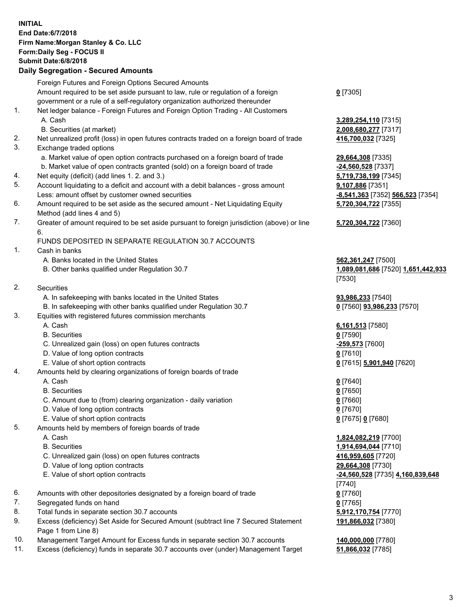## **INITIAL End Date:6/7/2018 Firm Name:Morgan Stanley & Co. LLC Form:Daily Seg - FOCUS II Submit Date:6/8/2018 Daily Segregation - Secured Amounts**

Foreign Futures and Foreign Options Secured Amounts Amount required to be set aside pursuant to law, rule or regulation of a foreign government or a rule of a self-regulatory organization authorized thereunder 1. Net ledger balance - Foreign Futures and Foreign Option Trading - All Customers A. Cash **3,289,254,110** [7315] B. Securities (at market) **2,008,680,277** [7317] 2. Net unrealized profit (loss) in open futures contracts traded on a foreign board of trade **416,700,032** [7325] 3. Exchange traded options a. Market value of open option contracts purchased on a foreign board of trade **29,664,308** [7335] b. Market value of open contracts granted (sold) on a foreign board of trade **-24,560,528** [7337] 4. Net equity (deficit) (add lines 1. 2. and 3.) **5,719,738,199** [7345] 5. Account liquidating to a deficit and account with a debit balances - gross amount **9,107,886** [7351] Less: amount offset by customer owned securities **-8,541,363** [7352] **566,523** [7354] 6. Amount required to be set aside as the secured amount - Net Liquidating Equity Method (add lines 4 and 5) 7. Greater of amount required to be set aside pursuant to foreign jurisdiction (above) or line 6. FUNDS DEPOSITED IN SEPARATE REGULATION 30.7 ACCOUNTS 1. Cash in banks A. Banks located in the United States **562,361,247** [7500] B. Other banks qualified under Regulation 30.7 **1,089,081,686** [7520] **1,651,442,933** 2. Securities A. In safekeeping with banks located in the United States **93,986,233** [7540] B. In safekeeping with other banks qualified under Regulation 30.7 **0** [7560] **93,986,233** [7570] 3. Equities with registered futures commission merchants A. Cash **6,161,513** [7580] B. Securities **0** [7590] C. Unrealized gain (loss) on open futures contracts **-259,573** [7600] D. Value of long option contracts **0** [7610] E. Value of short option contracts **0** [7615] **5,901,940** [7620] 4. Amounts held by clearing organizations of foreign boards of trade A. Cash **0** [7640] B. Securities **0** [7650] C. Amount due to (from) clearing organization - daily variation **0** [7660] D. Value of long option contracts **0** [7670] E. Value of short option contracts **0** [7675] **0** [7680] 5. Amounts held by members of foreign boards of trade A. Cash **1,824,082,219** [7700] B. Securities **1,914,694,044** [7710] C. Unrealized gain (loss) on open futures contracts **416,959,605** [7720] D. Value of long option contracts **29,664,308** [7730] E. Value of short option contracts **-24,560,528** [7735] **4,160,839,648** 6. Amounts with other depositories designated by a foreign board of trade **0** [7760] 7. Segregated funds on hand **0** [7765]

- 8. Total funds in separate section 30.7 accounts **5,912,170,754** [7770]
- 9. Excess (deficiency) Set Aside for Secured Amount (subtract line 7 Secured Statement Page 1 from Line 8)
- 10. Management Target Amount for Excess funds in separate section 30.7 accounts **140,000,000** [7780]
- 11. Excess (deficiency) funds in separate 30.7 accounts over (under) Management Target **51,866,032** [7785]

**0** [7305]

**5,720,304,722** [7355]

**5,720,304,722** [7360]

[7530]

[7740] **191,866,032** [7380]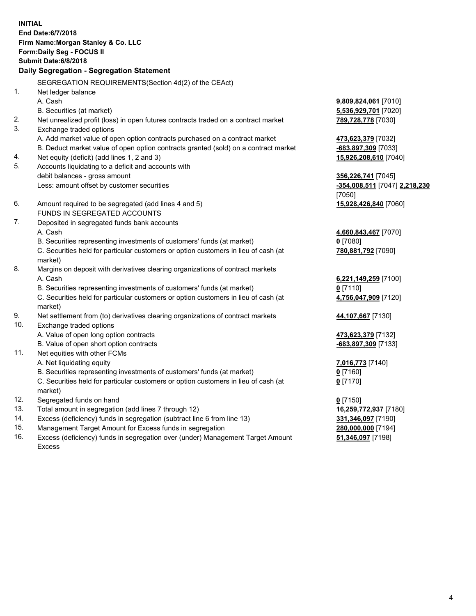**INITIAL End Date:6/7/2018 Firm Name:Morgan Stanley & Co. LLC Form:Daily Seg - FOCUS II Submit Date:6/8/2018 Daily Segregation - Segregation Statement** SEGREGATION REQUIREMENTS(Section 4d(2) of the CEAct) 1. Net ledger balance A. Cash **9,809,824,061** [7010] B. Securities (at market) **5,536,929,701** [7020] 2. Net unrealized profit (loss) in open futures contracts traded on a contract market **789,728,778** [7030] 3. Exchange traded options A. Add market value of open option contracts purchased on a contract market **473,623,379** [7032] B. Deduct market value of open option contracts granted (sold) on a contract market **-683,897,309** [7033] 4. Net equity (deficit) (add lines 1, 2 and 3) **15,926,208,610** [7040] 5. Accounts liquidating to a deficit and accounts with debit balances - gross amount **356,226,741** [7045] Less: amount offset by customer securities **-354,008,511** [7047] **2,218,230** [7050] 6. Amount required to be segregated (add lines 4 and 5) **15,928,426,840** [7060] FUNDS IN SEGREGATED ACCOUNTS 7. Deposited in segregated funds bank accounts A. Cash **4,660,843,467** [7070] B. Securities representing investments of customers' funds (at market) **0** [7080] C. Securities held for particular customers or option customers in lieu of cash (at market) **780,881,792** [7090] 8. Margins on deposit with derivatives clearing organizations of contract markets A. Cash **6,221,149,259** [7100] B. Securities representing investments of customers' funds (at market) **0** [7110] C. Securities held for particular customers or option customers in lieu of cash (at market) **4,756,047,909** [7120] 9. Net settlement from (to) derivatives clearing organizations of contract markets **44,107,667** [7130] 10. Exchange traded options A. Value of open long option contracts **473,623,379** [7132] B. Value of open short option contracts **-683,897,309** [7133] 11. Net equities with other FCMs A. Net liquidating equity **7,016,773** [7140] B. Securities representing investments of customers' funds (at market) **0** [7160] C. Securities held for particular customers or option customers in lieu of cash (at market) **0** [7170] 12. Segregated funds on hand **0** [7150] 13. Total amount in segregation (add lines 7 through 12) **16,259,772,937** [7180] 14. Excess (deficiency) funds in segregation (subtract line 6 from line 13) **331,346,097** [7190]

- 15. Management Target Amount for Excess funds in segregation **280,000,000** [7194]
- 16. Excess (deficiency) funds in segregation over (under) Management Target Amount Excess

**51,346,097** [7198]